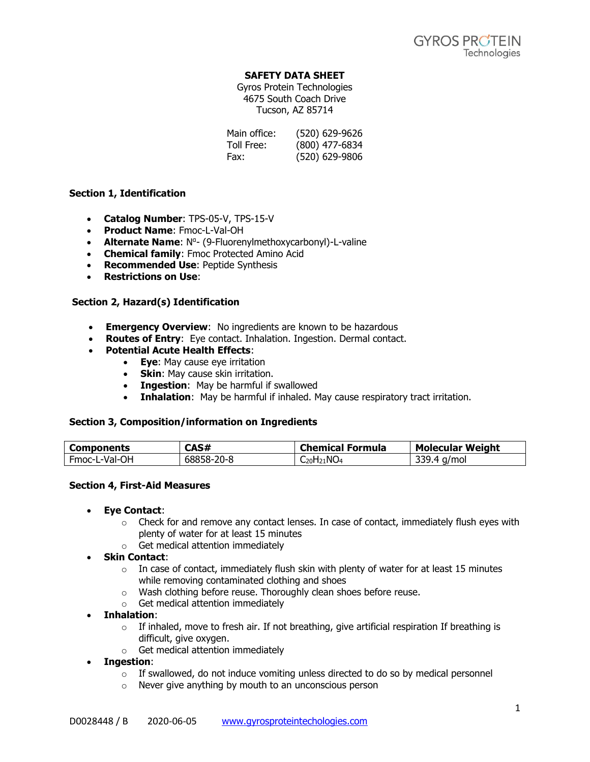## **SAFETY DATA SHEET**

Gyros Protein Technologies 4675 South Coach Drive Tucson, AZ 85714

| Main office: | (520) 629-9626 |
|--------------|----------------|
| Toll Free:   | (800) 477-6834 |
| Fax:         | (520) 629-9806 |

## **Section 1, Identification**

- **Catalog Number**: TPS-05-V, TPS-15-V
- **Product Name**: Fmoc-L-Val-OH
- **Alternate Name: N<sup>o</sup>- (9-Fluorenylmethoxycarbonyl)-L-valine**
- **Chemical family**: Fmoc Protected Amino Acid
- **Recommended Use**: Peptide Synthesis
- **Restrictions on Use**:

# **Section 2, Hazard(s) Identification**

- **Emergency Overview**: No ingredients are known to be hazardous
- **Routes of Entry**: Eye contact. Inhalation. Ingestion. Dermal contact.
- **Potential Acute Health Effects**:
	- **Eye**: May cause eye irritation
	- **Skin**: May cause skin irritation.
	- **Ingestion**: May be harmful if swallowed
	- **Inhalation**: May be harmful if inhaled. May cause respiratory tract irritation.

## **Section 3, Composition/information on Ingredients**

| Components    | CAS#               | <b>Chemical</b><br>Formula | <b>Molecular Weight</b>     |
|---------------|--------------------|----------------------------|-----------------------------|
| Fmoc-L-Val-OH | ۔۔68858 –<br>-20-8 | -20H21NO4                  | a/mol<br>$\sqrt{ }$<br>JJJ. |

## **Section 4, First-Aid Measures**

- **Eye Contact**:
	- $\circ$  Check for and remove any contact lenses. In case of contact, immediately flush eyes with plenty of water for at least 15 minutes
	- o Get medical attention immediately
- **Skin Contact**:
	- $\circ$  In case of contact, immediately flush skin with plenty of water for at least 15 minutes while removing contaminated clothing and shoes
	- o Wash clothing before reuse. Thoroughly clean shoes before reuse.
	- o Get medical attention immediately
- **Inhalation**:
	- $\circ$  If inhaled, move to fresh air. If not breathing, give artificial respiration If breathing is difficult, give oxygen.
	- o Get medical attention immediately

## • **Ingestion**:

- $\circ$  If swallowed, do not induce vomiting unless directed to do so by medical personnel
- o Never give anything by mouth to an unconscious person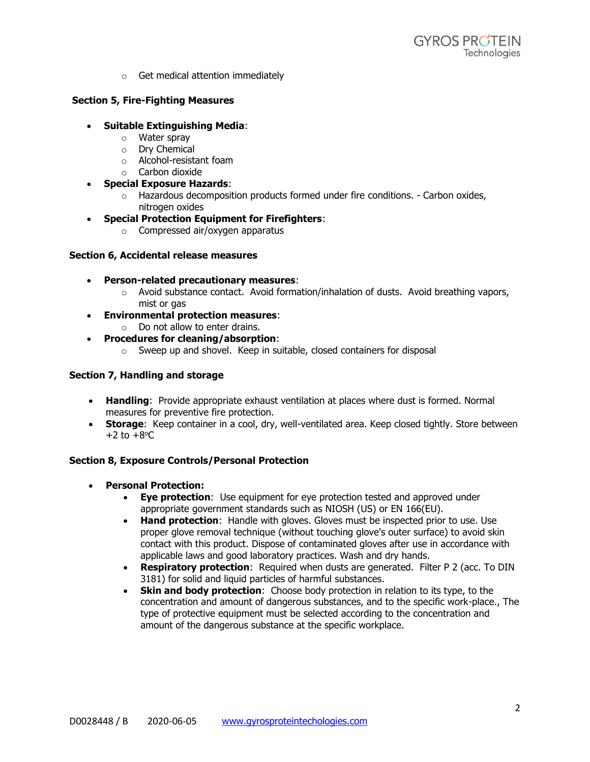o Get medical attention immediately

# **Section 5, Fire-Fighting Measures**

- **Suitable Extinguishing Media**:
	- o Water spray
	- o Dry Chemical
	- o Alcohol-resistant foam
	- o Carbon dioxide
- **Special Exposure Hazards**:
	- $\circ$  Hazardous decomposition products formed under fire conditions. Carbon oxides, nitrogen oxides
- **Special Protection Equipment for Firefighters**:
	- o Compressed air/oxygen apparatus

## **Section 6, Accidental release measures**

- **Person-related precautionary measures**:
	- $\circ$  Avoid substance contact. Avoid formation/inhalation of dusts. Avoid breathing vapors, mist or gas
- **Environmental protection measures**:
	- $\circ$  Do not allow to enter drains.
- **Procedures for cleaning/absorption**:
	- o Sweep up and shovel. Keep in suitable, closed containers for disposal

# **Section 7, Handling and storage**

- **Handling**: Provide appropriate exhaust ventilation at places where dust is formed. Normal measures for preventive fire protection.
- **Storage:** Keep container in a cool, dry, well-ventilated area. Keep closed tightly. Store between  $+2$  to  $+8$ <sup>o</sup>C

# **Section 8, Exposure Controls/Personal Protection**

- **Personal Protection:**
	- **Eye protection**: Use equipment for eye protection tested and approved under appropriate government standards such as NIOSH (US) or EN 166(EU).
	- **Hand protection**: Handle with gloves. Gloves must be inspected prior to use. Use proper glove removal technique (without touching glove's outer surface) to avoid skin contact with this product. Dispose of contaminated gloves after use in accordance with applicable laws and good laboratory practices. Wash and dry hands.
	- **Respiratory protection**: Required when dusts are generated. Filter P 2 (acc. To DIN 3181) for solid and liquid particles of harmful substances.
	- **Skin and body protection**: Choose body protection in relation to its type, to the concentration and amount of dangerous substances, and to the specific work-place., The type of protective equipment must be selected according to the concentration and amount of the dangerous substance at the specific workplace.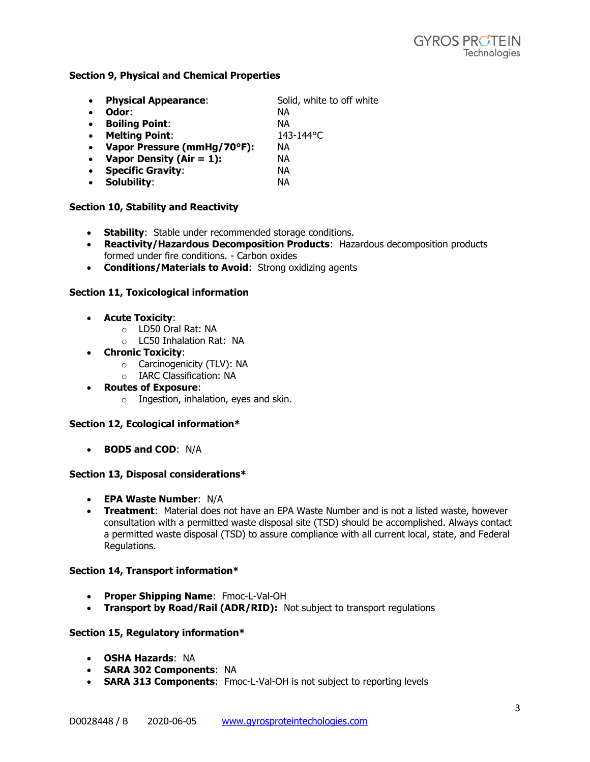## **Section 9, Physical and Chemical Properties**

| $\bullet$ | <b>Physical Appearance:</b> | Solid, white to off white |
|-----------|-----------------------------|---------------------------|
| $\bullet$ | Odor:                       | NА                        |
| $\bullet$ | <b>Boiling Point:</b>       | NА                        |
| $\bullet$ | <b>Melting Point:</b>       | 143-144°C                 |
| $\bullet$ | Vapor Pressure (mmHg/70°F): | NА                        |
| $\bullet$ | Vapor Density (Air = $1$ ): | NА                        |
| $\bullet$ | <b>Specific Gravity:</b>    | NА                        |
| $\bullet$ | Solubility:                 | NА                        |
|           |                             |                           |

### **Section 10, Stability and Reactivity**

- **Stability**: Stable under recommended storage conditions.
- **Reactivity/Hazardous Decomposition Products**: Hazardous decomposition products formed under fire conditions. - Carbon oxides
- **Conditions/Materials to Avoid**: Strong oxidizing agents

### **Section 11, Toxicological information**

- **Acute Toxicity**:
	- o LD50 Oral Rat: NA
	- o LC50 Inhalation Rat: NA
- **Chronic Toxicity**:
	- o Carcinogenicity (TLV): NA
	- o IARC Classification: NA
- **Routes of Exposure**:
	- o Ingestion, inhalation, eyes and skin.

## **Section 12, Ecological information\***

• **BOD5 and COD**: N/A

#### **Section 13, Disposal considerations\***

- **EPA Waste Number**: N/A
- **Treatment**: Material does not have an EPA Waste Number and is not a listed waste, however consultation with a permitted waste disposal site (TSD) should be accomplished. Always contact a permitted waste disposal (TSD) to assure compliance with all current local, state, and Federal Regulations.

#### **Section 14, Transport information\***

- **Proper Shipping Name**: Fmoc-L-Val-OH
- **Transport by Road/Rail (ADR/RID):** Not subject to transport regulations

#### **Section 15, Regulatory information\***

- **OSHA Hazards**: NA
- **SARA 302 Components**: NA
- **SARA 313 Components**: Fmoc-L-Val-OH is not subject to reporting levels